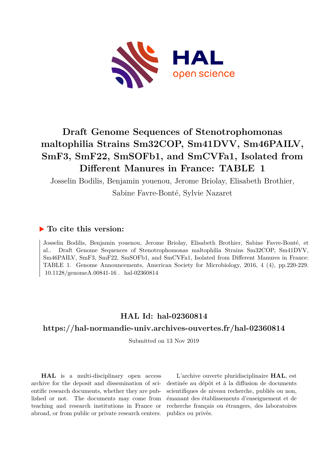

# **Draft Genome Sequences of Stenotrophomonas maltophilia Strains Sm32COP, Sm41DVV, Sm46PAILV, SmF3, SmF22, SmSOFb1, and SmCVFa1, Isolated from Different Manures in France: TABLE 1**

Josselin Bodilis, Benjamin youenou, Jerome Briolay, Elisabeth Brothier, Sabine Favre-Bonté, Sylvie Nazaret

## **To cite this version:**

Josselin Bodilis, Benjamin youenou, Jerome Briolay, Elisabeth Brothier, Sabine Favre-Bonté, et al.. Draft Genome Sequences of Stenotrophomonas maltophilia Strains Sm32COP, Sm41DVV, Sm46PAILV, SmF3, SmF22, SmSOFb1, and SmCVFa1, Isolated from Different Manures in France: TABLE 1. Genome Announcements, American Society for Microbiology, 2016, 4 (4), pp.220-229.  $10.1128/\text{genomeA}.00841-16$ . hal-02360814

## **HAL Id: hal-02360814**

## **<https://hal-normandie-univ.archives-ouvertes.fr/hal-02360814>**

Submitted on 13 Nov 2019

**HAL** is a multi-disciplinary open access archive for the deposit and dissemination of scientific research documents, whether they are published or not. The documents may come from teaching and research institutions in France or abroad, or from public or private research centers.

L'archive ouverte pluridisciplinaire **HAL**, est destinée au dépôt et à la diffusion de documents scientifiques de niveau recherche, publiés ou non, émanant des établissements d'enseignement et de recherche français ou étrangers, des laboratoires publics ou privés.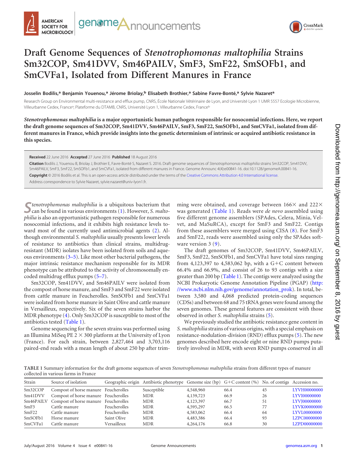



## **Draft Genome Sequences of** *Stenotrophomonas maltophilia* **Strains Sm32COP, Sm41DVV, Sm46PAILV, SmF3, SmF22, SmSOFb1, and SmCVFa1, Isolated from Different Manures in France**

**Josselin Bodilis,<sup>a</sup> Benjamin Youenou,<sup>a</sup> Jérome Briolay,<sup>b</sup> Elisabeth Brothier,<sup>a</sup> Sabine Favre-Bonté,<sup>a</sup> Sylvie Nazaret<sup>a</sup>**

Research Group on Environmental multi-resistance and efflux pump, CNRS, École Nationale Vétérinaire de Lyon, and Université Lyon 1 UMR 5557 Ecologie Microbienne, Villeurbanne Cedex, France<sup>a</sup>; Plateforme du DTAMB, CNRS, Université Lyon 1, Villeurbanne Cedex, France<sup>b</sup>

*Stenotrophomonas maltophilia* **is a major opportunistic human pathogen responsible for nosocomial infections. Here, we report the draft genome sequences of Sm32COP, Sm41DVV, Sm46PAILV, SmF3, SmF22, SmSOFb1, and SmCVFa1, isolated from different manures in France, which provide insights into the genetic determinism of intrinsic or acquired antibiotic resistance in this species.**

**Received** 22 June 2016 **Accepted** 27 June 2016 **Published** 18 August 2016

**Citation** Bodilis J, Youenou B, Briolay J, Brothier E, Favre-Bonté S, Nazaret S. 2016. Draft genome sequences of *Stenotrophomonas maltophilia* strains Sm32COP, Sm41DVV, Sm46PAILV, SmF3, SmF22, SmSOFb1, and SmCVFa1, isolated from different manures in France. Genome Announc 4(4):e00841-16. doi:10.1128/genomeA.00841-16.

**Copyright** © 2016 Bodilis et al. This is an open-access article distributed under the terms of the Creative Commons Attribution 4.0 International license.

Address correspondence to Sylvie Nazaret, sylvie.nazaret@univ-lyon1.fr.

S*Chenotrophomonas maltophilia* is a ubiquitous bacterium that  $\sum$  can be found in various environments (1). However, *S. maltophilia* is also an opportunistic pathogen responsible for numerous nosocomial infections, and it exhibits high resistance levels toward most of the currently used antimicrobial agents (2). Although environmental *S. maltophilia* usually presents lower levels of resistance to antibiotics than clinical strains, multidrugresistant (MDR) isolates have been isolated from soils and aqueous environments (3–5). Like most other bacterial pathogens, the major intrinsic resistance mechanism responsible for its MDR phenotype can be attributed to the activity of chromosomally encoded multidrug efflux pumps (5–7).

Sm32COP, Sm41DVV, and Sm46PAILV were isolated from the compost of horse manure, and SmF3 and SmF22 were isolated from cattle manure in Feucherolles. SmSOFb1 and SmCVFa1 were isolated from horse manure in Saint Olive and cattle manure in Versailleux, respectively. Six of the seven strains harbor the MDR phenotype (4). Only Sm32COP is susceptible to most of the antibiotics tested (Table 1).

Genome sequencing for the seven strains was performed using an Illumina MiSeq PE  $2 \times 300$  platform at the University of Lyon (France). For each strain, between 2,827,464 and 3,703,116 paired-end reads with a mean length of about 250 bp after trim-

ming were obtained, and coverage between  $166\times$  and  $222\times$ was generated (Table 1). Reads were *de novo* assembled using five different genome assemblers (SPAdes, Celera, Minia, Velvet, and MaSuRCA), except for SmF3 and SmF22. Contigs from these assemblers were merged using CISA (8). For SmF3 and SmF22, reads were assembled using only the SPAdes software version 3 (9).

The draft genomes of Sm32COP, Sm41DVV, Sm46PAILV, SmF3, SmF22, SmSOFb1, and SmCVFa1 have total sizes ranging from 4,123,397 to 4,583,062 bp, with a  $G+C$  content between 66.4% and 66.9%, and consist of 26 to 93 contigs with a size greater than 200 bp (Table 1). The contigs were analyzed using the NCBI Prokaryotic Genome Annotation Pipeline (PGAP) (http: //www.ncbi.nlm.nih.gov/genome/annotation\_prok). In total, between 3,580 and 4,068 predicted protein-coding sequences (CDSs) and between 68 and 75 tRNA genes were found among the seven genomes. These general features are consistent with those observed in other *S. maltophilia* strains (5).

We previously studied the antibiotic resistance gene content in *S. maltophilia* strains of various origins, with a special emphasis on resistance-nodulation-division (RND) efflux pumps (5). The new genomes described here encode eight or nine RND pumps putatively involved in MDR, with seven RND pumps conserved in all

**TABLE 1** Summary information for the draft genome sequences of seven *Stenotrophomonas maltophilia* strains from different types of manure collected in various farms in France

| Strain    | Source of isolation                  |                     | Geographic origin Antibiotic phenotype Genome size (bp) $G + C$ content (%) No. of contigs Accession no. |             |      |    |              |
|-----------|--------------------------------------|---------------------|----------------------------------------------------------------------------------------------------------|-------------|------|----|--------------|
| Sm32COP   | Compost of horse manure Feucherolles |                     | Susceptible                                                                                              | 4,548,960   | 66.4 | 45 | LYVH00000000 |
| Sm41DVV   | Compost of horse manure Feucherolles |                     | <b>MDR</b>                                                                                               | 4, 139, 723 | 66.9 | 26 | LYVI00000000 |
| Sm46PAILV | Compost of horse manure Feucherolles |                     | <b>MDR</b>                                                                                               | 4,123,397   | 66.7 | 51 | LYVI00000000 |
| SmF3      | Cattle manure                        | <b>Feucherolles</b> | <b>MDR</b>                                                                                               | 4,595,297   | 66.5 | 77 | LYVK00000000 |
| SmF22     | Cattle manure                        | Feucherolles        | <b>MDR</b>                                                                                               | 4,583,062   | 66.4 | 64 | LYVL00000000 |
| SmSOFb1   | Horse manure                         | Saint Olive         | <b>MDR</b>                                                                                               | 4,483,386   | 66.4 | 93 | LZPC00000000 |
| SmCVFa1   | Cattle manure                        | Versailleux         | <b>MDR</b>                                                                                               | 4,264,176   | 66.8 | 30 | LZPD00000000 |